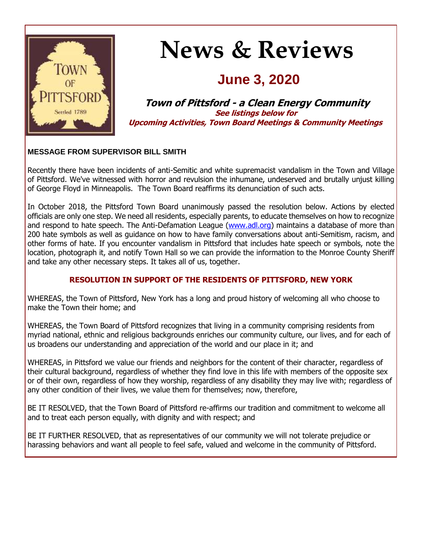

# **News & Reviews**

# **June 3, 2020**

**Town of Pittsford - a Clean Energy Community See listings below for Upcoming Activities, Town Board Meetings & Community Meetings**

#### **MESSAGE FROM SUPERVISOR BILL SMITH**

Recently there have been incidents of anti-Semitic and white supremacist vandalism in the Town and Village of Pittsford. We've witnessed with horror and revulsion the inhumane, undeserved and brutally unjust killing of George Floyd in Minneapolis. The Town Board reaffirms its denunciation of such acts.

In October 2018, the Pittsford Town Board unanimously passed the resolution below. Actions by elected officials are only one step. We need all residents, especially parents, to educate themselves on how to recognize and respond to hate speech. The Anti-Defamation League [\(www.adl.org\)](http://r20.rs6.net/tn.jsp?f=001v6iMkIDGlkLstFMyatL3P_V-GyaqgH_ksxteKRcaj6Voijx-kXJ8vP8sYTUzNDVRvonx_2aoyETn4PRJYCuUOuSlHI82ng-zzADH-ieFSDkfNVRaSWJZnan-xjTUZjBHZKqcxeWonbYj8jbfz9ZpIN5E8u6Lov78ysEtz0RhmQnZDpIF3oRD8px5q8DOCMiAmN81XVv-B5ei_5V7Cfq0skxRYWwGvzB1h7fQUJaPMEaOQVEbdj9H8IZ2uXo3hPoPsP_w8TIcEp65BxO5U4_eDA==&c=1xJUwWdEKTuQlbANymVtbtYYWTrmm9_kwM7OiCgeo7WDxTZl2_I8wA==&ch=LIEaKR353EeafE5ORnvTbeJiNt-uLG99s6yNEnjTGn3F9wct176ajw==) maintains a database of more than 200 hate symbols as well as guidance on how to have family conversations about anti-Semitism, racism, and other forms of hate. If you encounter vandalism in Pittsford that includes hate speech or symbols, note the location, photograph it, and notify Town Hall so we can provide the information to the Monroe County Sheriff and take any other necessary steps. It takes all of us, together.

#### **RESOLUTION IN SUPPORT OF THE RESIDENTS OF PITTSFORD, NEW YORK**

WHEREAS, the Town of Pittsford, New York has a long and proud history of welcoming all who choose to make the Town their home; and

WHEREAS, the Town Board of Pittsford recognizes that living in a community comprising residents from myriad national, ethnic and religious backgrounds enriches our community culture, our lives, and for each of us broadens our understanding and appreciation of the world and our place in it; and

WHEREAS, in Pittsford we value our friends and neighbors for the content of their character, regardless of their cultural background, regardless of whether they find love in this life with members of the opposite sex or of their own, regardless of how they worship, regardless of any disability they may live with; regardless of any other condition of their lives, we value them for themselves; now, therefore,

BE IT RESOLVED, that the Town Board of Pittsford re-affirms our tradition and commitment to welcome all and to treat each person equally, with dignity and with respect; and

BE IT FURTHER RESOLVED, that as representatives of our community we will not tolerate prejudice or harassing behaviors and want all people to feel safe, valued and welcome in the community of Pittsford.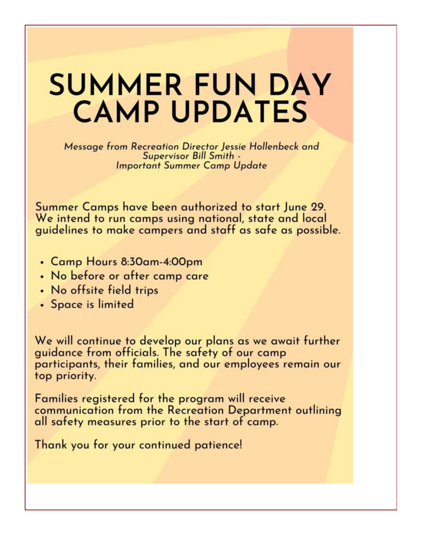# **SUMMER FUN DAY CAMP UPDATES**

Message from Recreation Director Jessie Hollenbeck and Supervisor Bill Smith -**Important Summer Camp Update** 

Summer Camps have been authorized to start June 29. We intend to run camps using national, state and local guidelines to make campers and staff as safe as possible.

- Camp Hours 8:30am-4:00pm
- No before or after camp care
- . No offsite field trips
- · Space is limited

We will continue to develop our plans as we await further guidance from officials. The safety of our camp participants, their families, and our employees remain our top priority.

Families registered for the program will receive communication from the Recreation Department outlining all safety measures prior to the start of camp.

Thank you for your continued patience!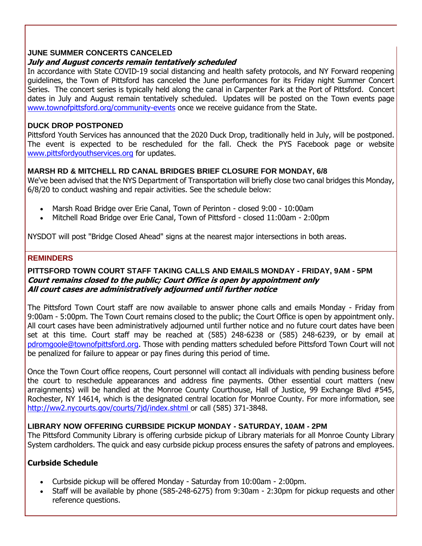#### **JUNE SUMMER CONCERTS CANCELED**

#### **July and August concerts remain tentatively scheduled**

In accordance with State COVID-19 social distancing and health safety protocols, and NY Forward reopening guidelines, the Town of Pittsford has canceled the June performances for its Friday night Summer Concert Series. The concert series is typically held along the canal in Carpenter Park at the Port of Pittsford. Concert dates in July and August remain tentatively scheduled. Updates will be posted on the Town events page [www.townofpittsford.org/community-events](http://r20.rs6.net/tn.jsp?f=001v6iMkIDGlkLstFMyatL3P_V-GyaqgH_ksxteKRcaj6Voijx-kXJ8vK9c0HLzjYvILOdyv6KcqCFkiLZ1_y01ARDo-8No3Q2WkKPTJx217ifP5KtxXEuyvF01wUTJ6DFFAy29ykjIc7x6_FdDqKKJKHJej7RWKC3wjrlRN5PYvrig93vuFCl5nzoygFVuyEuWR_BTlkBwOqkeWPJg0Dt456lTK5Y6O1YDLueTuTcydBmNQCbrLE8gaX11ncPOv9cNGzvj_7Slxi2ghN7zsPOdLY1PCVxNmEpcx6qcg2ds61sjBhcXvq_AejF4sJKAYU28&c=1xJUwWdEKTuQlbANymVtbtYYWTrmm9_kwM7OiCgeo7WDxTZl2_I8wA==&ch=LIEaKR353EeafE5ORnvTbeJiNt-uLG99s6yNEnjTGn3F9wct176ajw==) once we receive guidance from the State.

#### **DUCK DROP POSTPONED**

Pittsford Youth Services has announced that the 2020 Duck Drop, traditionally held in July, will be postponed. The event is expected to be rescheduled for the fall. Check the PYS Facebook page or website [www.pittsfordyouthservices.org](http://r20.rs6.net/tn.jsp?f=001v6iMkIDGlkLstFMyatL3P_V-GyaqgH_ksxteKRcaj6Voijx-kXJ8vNe1XbpPzhaZ4e9sP0dZFD8hwy82WkYaFmI6ky7JRVzHh4bihgE9Ash3m4KaXB10acAxuVhHz3TeDqT86xRSYDdwd_VsPC0dShb1hUo8_rKb5-6-c3cK_P5F0pmL6wmU60D8I_LlzljKIoxPz06XZfDgAAKMeUlQj3O9ltQHdkqjQes8sHuLMlVVD1-Q9hsl2INeCtB9ciMB-jlpzFyT2-xGOUzWsl75SdpRlbmrJlYG70eomI8v1t2im9vOrr14vg==&c=1xJUwWdEKTuQlbANymVtbtYYWTrmm9_kwM7OiCgeo7WDxTZl2_I8wA==&ch=LIEaKR353EeafE5ORnvTbeJiNt-uLG99s6yNEnjTGn3F9wct176ajw==) for updates.

#### **MARSH RD & MITCHELL RD CANAL BRIDGES BRIEF CLOSURE FOR MONDAY, 6/8**

We've been advised that the NYS Department of Transportation will briefly close two canal bridges this Monday, 6/8/20 to conduct washing and repair activities. See the schedule below:

- Marsh Road Bridge over Erie Canal, Town of Perinton closed 9:00 10:00am
- Mitchell Road Bridge over Erie Canal, Town of Pittsford closed 11:00am 2:00pm

NYSDOT will post "Bridge Closed Ahead" signs at the nearest major intersections in both areas.

#### **REMINDERS**

#### **PITTSFORD TOWN COURT STAFF TAKING CALLS AND EMAILS MONDAY - FRIDAY, 9AM - 5PM Court remains closed to the public; Court Office is open by appointment only All court cases are administratively adjourned until further notice**

The Pittsford Town Court staff are now available to answer phone calls and emails Monday - Friday from 9:00am - 5:00pm. The Town Court remains closed to the public; the Court Office is open by appointment only. All court cases have been administratively adjourned until further notice and no future court dates have been set at this time. Court staff may be reached at (585) 248-6238 or (585) 248-6239, or by email at [pdromgoole@townofpittsford.org.](mailto:pdromgoole@townofpittsford.org) Those with pending matters scheduled before Pittsford Town Court will not be penalized for failure to appear or pay fines during this period of time.

Once the Town Court office reopens, Court personnel will contact all individuals with pending business before the court to reschedule appearances and address fine payments. Other essential court matters (new arraignments) will be handled at the Monroe County Courthouse, Hall of Justice, 99 Exchange Blvd #545, Rochester, NY 14614, which is the designated central location for Monroe County. For more information, see [http://ww2.nycourts.gov/courts/7jd/index.shtml o](http://r20.rs6.net/tn.jsp?f=001v6iMkIDGlkLstFMyatL3P_V-GyaqgH_ksxteKRcaj6Voijx-kXJ8vDtwXn0Q_pG3Yd-3NicV2qKV6-DjTeLhxR4fHqzo1MjvVn1MLMU-8JKYzk92hCBgX4ibIDJhh5UFbpSDwsGcZ9PqZNNQPG1Q89fpb0gsWMqyYii2bUUiQMcBTn-UywKu_M4TgsS6fHS3xW9xnBcMObE3eomPIzg9OpIF0ubEHpS8t6LCdMAx9iQYo_Q5aOQLRFqFKXDwbfEHA58w-36vA8MhrG1SRHtLQlKuLitT5LBlVJt0Lx3H5_qSijkaaD-wJNiwzPaO_Kqv&c=1xJUwWdEKTuQlbANymVtbtYYWTrmm9_kwM7OiCgeo7WDxTZl2_I8wA==&ch=LIEaKR353EeafE5ORnvTbeJiNt-uLG99s6yNEnjTGn3F9wct176ajw==)r call (585) 371-3848.

#### **LIBRARY NOW OFFERING CURBSIDE PICKUP MONDAY - SATURDAY, 10AM - 2PM**

The Pittsford Community Library is offering curbside pickup of Library materials for all Monroe County Library System cardholders. The quick and easy curbside pickup process ensures the safety of patrons and employees.

#### **Curbside Schedule**

- Curbside pickup will be offered Monday Saturday from 10:00am 2:00pm.
- Staff will be available by phone (585-248-6275) from 9:30am 2:30pm for pickup requests and other reference questions.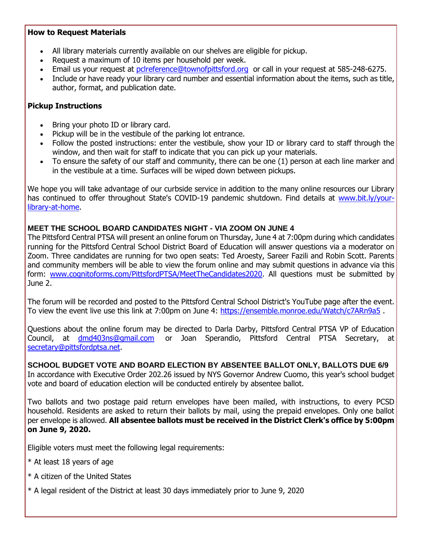#### **How to Request Materials**

- All library materials currently available on our shelves are eligible for pickup.
- Request a maximum of 10 items per household per week.
- Email us your request at [pclreference@townofpittsford.org](mailto:pclreference@townofpittsford.org?subject=Library%20materials%20request) or call in your request at 585-248-6275.
- Include or have ready your library card number and essential information about the items, such as title, author, format, and publication date.

#### **Pickup Instructions**

- Bring your photo ID or library card.
- Pickup will be in the vestibule of the parking lot entrance.
- Follow the posted instructions: enter the vestibule, show your ID or library card to staff through the window, and then wait for staff to indicate that you can pick up your materials.
- To ensure the safety of our staff and community, there can be one (1) person at each line marker and in the vestibule at a time. Surfaces will be wiped down between pickups.

We hope you will take advantage of our curbside service in addition to the many online resources our Library has continued to offer throughout State's COVID-19 pandemic shutdown. Find details at [www.bit.ly/your](http://r20.rs6.net/tn.jsp?f=001v6iMkIDGlkLstFMyatL3P_V-GyaqgH_ksxteKRcaj6Voijx-kXJ8vFPN3qTvysOjGkfKOZZIirWxRo2T94AvBCQ_ItjkmF85k1iheoXAp2yYi5XTfbu8yuLwgDtMCam4-DsPW4ZmmhcIZror58sOqJupRSd5QxQy5UNlxdl7Ld-5LRG3KqBpdAl-F6wUjadadEGSnALpoDCi0i2bhw2Hwksoz4fB5nX4pO-vElRyuPYYdwl9UE_NRTZSiYX1s5xIr9a4V5piM3o5G4J74mgtqw3CeCeG-xoK5z2FZkadm8Wv3zcyLdBH7g==&c=1xJUwWdEKTuQlbANymVtbtYYWTrmm9_kwM7OiCgeo7WDxTZl2_I8wA==&ch=LIEaKR353EeafE5ORnvTbeJiNt-uLG99s6yNEnjTGn3F9wct176ajw==)[library-at-home.](http://r20.rs6.net/tn.jsp?f=001v6iMkIDGlkLstFMyatL3P_V-GyaqgH_ksxteKRcaj6Voijx-kXJ8vFPN3qTvysOjGkfKOZZIirWxRo2T94AvBCQ_ItjkmF85k1iheoXAp2yYi5XTfbu8yuLwgDtMCam4-DsPW4ZmmhcIZror58sOqJupRSd5QxQy5UNlxdl7Ld-5LRG3KqBpdAl-F6wUjadadEGSnALpoDCi0i2bhw2Hwksoz4fB5nX4pO-vElRyuPYYdwl9UE_NRTZSiYX1s5xIr9a4V5piM3o5G4J74mgtqw3CeCeG-xoK5z2FZkadm8Wv3zcyLdBH7g==&c=1xJUwWdEKTuQlbANymVtbtYYWTrmm9_kwM7OiCgeo7WDxTZl2_I8wA==&ch=LIEaKR353EeafE5ORnvTbeJiNt-uLG99s6yNEnjTGn3F9wct176ajw==)

#### **MEET THE SCHOOL BOARD CANDIDATES NIGHT - VIA ZOOM ON JUNE 4**

The Pittsford Central PTSA will present an online forum on Thursday, June 4 at 7:00pm during which candidates running for the Pittsford Central School District Board of Education will answer questions via a moderator on Zoom. Three candidates are running for two open seats: Ted Aroesty, Sareer Fazili and Robin Scott. Parents and community members will be able to view the forum online and may submit questions in advance via this form: [www.cognitoforms.com/PittsfordPTSA/MeetTheCandidates2020.](http://r20.rs6.net/tn.jsp?f=001v6iMkIDGlkLstFMyatL3P_V-GyaqgH_ksxteKRcaj6Voijx-kXJ8vJ5ZnGJr0qm-FticIWhQxy1BRSS0skT6naQspo10rDWtldo4qsd8b2VwnY1t5fJyhcSnWedIaKZz4x33zddpsP0zArjHBd62BK1MPDViGvopXkGLOdAn70V5QUtS9djrCtM2JI8eac3993mDrOAfQafBhRyuxiXZyd-ebBzrpENY5HnGDHib3Fhwl5xoLtD_ff3NsL6TpJMSQntj662qQEZ1hRLyWQZqwJNWuMfC5OMrukJRkMqiOPatWRtKlNAznFS6yWdY9oupeV0eKmMhVWvsAV8wpoOJ-w==&c=1xJUwWdEKTuQlbANymVtbtYYWTrmm9_kwM7OiCgeo7WDxTZl2_I8wA==&ch=LIEaKR353EeafE5ORnvTbeJiNt-uLG99s6yNEnjTGn3F9wct176ajw==) All questions must be submitted by June 2.

The forum will be recorded and posted to the Pittsford Central School District's YouTube page after the event. To view the event live use this link at 7:00pm on June 4: [https://ensemble.monroe.edu/Watch/c7ARn9a5](http://r20.rs6.net/tn.jsp?f=001v6iMkIDGlkLstFMyatL3P_V-GyaqgH_ksxteKRcaj6Voijx-kXJ8vJ5ZnGJr0qm-jWgSecN6urjNfKtflmaUucr01lSB1VU35T97qYkUcWKBRIFrkXQFMmISVL6aDFdEkyPiYV_163Kdch7FNfmeO6N764pqmryeNshjgAi3lRJWqqGBdd8dHYpG5bqX_eKDNGhMzYQ2zVj_ci5DN4ablLQVX3Gy9aBSckK_K_eFbSCRHBIoESfs789EFde1o5Nc8weqeFtB8ZYiLBdUKAElNRqY-BsnBsVKAlxKBpOXvXXZEFSJMQKppQ==&c=1xJUwWdEKTuQlbANymVtbtYYWTrmm9_kwM7OiCgeo7WDxTZl2_I8wA==&ch=LIEaKR353EeafE5ORnvTbeJiNt-uLG99s6yNEnjTGn3F9wct176ajw==).

Questions about the online forum may be directed to Darla Darby, Pittsford Central PTSA VP of Education Council, at [dmd403ns@gmail.com](mailto:dmd403ns@gmail.com) or Joan Sperandio, Pittsford Central PTSA Secretary, at [secretary@pittsfordptsa.net.](mailto:secretary@pittsfordptsa.net)

**SCHOOL BUDGET VOTE AND BOARD ELECTION BY ABSENTEE BALLOT ONLY, BALLOTS DUE 6/9** In accordance with Executive Order 202.26 issued by NYS Governor Andrew Cuomo, this year's school budget vote and board of education election will be conducted entirely by absentee ballot.

Two ballots and two postage paid return envelopes have been mailed, with instructions, to every PCSD household. Residents are asked to return their ballots by mail, using the prepaid envelopes. Only one ballot per envelope is allowed. **All absentee ballots must be received in the District Clerk's office by 5:00pm on June 9, 2020.** 

Eligible voters must meet the following legal requirements:

- \* At least 18 years of age
- \* A citizen of the United States
- \* A legal resident of the District at least 30 days immediately prior to June 9, 2020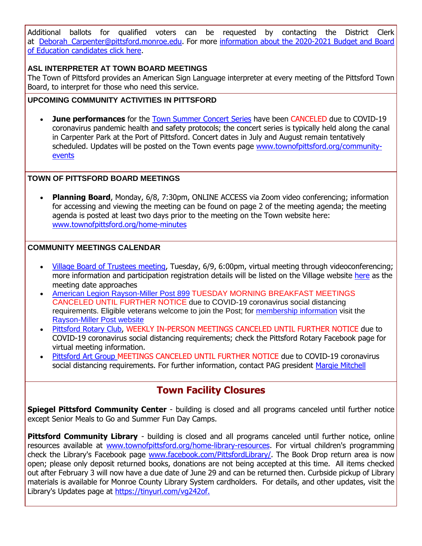Additional ballots for qualified voters can be requested by contacting the District Clerk at Deborah Carpenter@pittsford.monroe.edu. For more information about the 2020-2021 Budget and Board [of Education candidates click here.](http://r20.rs6.net/tn.jsp?f=001v6iMkIDGlkLstFMyatL3P_V-GyaqgH_ksxteKRcaj6Voijx-kXJ8vJ5ZnGJr0qm-kWfEL4ly5gCRiiSo1wpYLtyBl84S0Hw5tGE1aiCST-DfTnjY-_JhJVfC48Gl-mj3qWmIhs1Lj8620ew7fXAGGdfAaTkqnsAdPfQVetaQQCKKObD16llJTY2CuHkUXAL7sIUHuCaq3k-c1ZYECmjAbz6_cAEXjwBYV1ZA683AzFFU2aejtEEQNyuzLQHxV8yqQNHjG1eu8XAdR2rfdCcUzQ5zzX0851NhwTRaV6HCBxASEHpmfotlVxtbMYYhxgfS&c=1xJUwWdEKTuQlbANymVtbtYYWTrmm9_kwM7OiCgeo7WDxTZl2_I8wA==&ch=LIEaKR353EeafE5ORnvTbeJiNt-uLG99s6yNEnjTGn3F9wct176ajw==)

#### **ASL INTERPRETER AT TOWN BOARD MEETINGS**

The Town of Pittsford provides an American Sign Language interpreter at every meeting of the Pittsford Town Board, to interpret for those who need this service.

#### **UPCOMING COMMUNITY ACTIVITIES IN PITTSFORD**

 **June performances** for the [Town Summer Concert Series](http://r20.rs6.net/tn.jsp?f=001v6iMkIDGlkLstFMyatL3P_V-GyaqgH_ksxteKRcaj6Voijx-kXJ8vLZRfACyCA-Agwtaqc5sOF8BcCqVR-NPbmaqMg_w-40u45UHEIUYfYf-AP2cVV_Nh4KSvm8U7LPsj7w7WcW4323knSZxLmsfo8yWRQzwL0yT0zPHHkWJCGRcQk4y-4H_H07jPXxQvUjPlsxlvhD_uNUtFFMhKBPFCBmdcbm53BQcTHfupcFGpFlzxzCyffdXCnAeYFDzYvFYD65K0XBdNHdyQph0hJBe1UfcoUWwzlwtaEWpqPXTobdcJZguXpNpX1TLA_P3eA4C&c=1xJUwWdEKTuQlbANymVtbtYYWTrmm9_kwM7OiCgeo7WDxTZl2_I8wA==&ch=LIEaKR353EeafE5ORnvTbeJiNt-uLG99s6yNEnjTGn3F9wct176ajw==) have been CANCELED due to COVID-19 coronavirus pandemic health and safety protocols; the concert series is typically held along the canal in Carpenter Park at the Port of Pittsford. Concert dates in July and August remain tentatively scheduled. Updates will be posted on the Town events page [www.townofpittsford.org/community](http://r20.rs6.net/tn.jsp?f=001v6iMkIDGlkLstFMyatL3P_V-GyaqgH_ksxteKRcaj6Voijx-kXJ8vK9c0HLzjYvILOdyv6KcqCFkiLZ1_y01ARDo-8No3Q2WkKPTJx217ifP5KtxXEuyvF01wUTJ6DFFAy29ykjIc7x6_FdDqKKJKHJej7RWKC3wjrlRN5PYvrig93vuFCl5nzoygFVuyEuWR_BTlkBwOqkeWPJg0Dt456lTK5Y6O1YDLueTuTcydBmNQCbrLE8gaX11ncPOv9cNGzvj_7Slxi2ghN7zsPOdLY1PCVxNmEpcx6qcg2ds61sjBhcXvq_AejF4sJKAYU28&c=1xJUwWdEKTuQlbANymVtbtYYWTrmm9_kwM7OiCgeo7WDxTZl2_I8wA==&ch=LIEaKR353EeafE5ORnvTbeJiNt-uLG99s6yNEnjTGn3F9wct176ajw==)[events](http://r20.rs6.net/tn.jsp?f=001v6iMkIDGlkLstFMyatL3P_V-GyaqgH_ksxteKRcaj6Voijx-kXJ8vK9c0HLzjYvILOdyv6KcqCFkiLZ1_y01ARDo-8No3Q2WkKPTJx217ifP5KtxXEuyvF01wUTJ6DFFAy29ykjIc7x6_FdDqKKJKHJej7RWKC3wjrlRN5PYvrig93vuFCl5nzoygFVuyEuWR_BTlkBwOqkeWPJg0Dt456lTK5Y6O1YDLueTuTcydBmNQCbrLE8gaX11ncPOv9cNGzvj_7Slxi2ghN7zsPOdLY1PCVxNmEpcx6qcg2ds61sjBhcXvq_AejF4sJKAYU28&c=1xJUwWdEKTuQlbANymVtbtYYWTrmm9_kwM7OiCgeo7WDxTZl2_I8wA==&ch=LIEaKR353EeafE5ORnvTbeJiNt-uLG99s6yNEnjTGn3F9wct176ajw==)

#### **TOWN OF PITTSFORD BOARD MEETINGS**

 **Planning Board**, Monday, 6/8, 7:30pm, ONLINE ACCESS via Zoom video conferencing; information for accessing and viewing the meeting can be found on page 2 of the meeting agenda; the meeting agenda is posted at least two days prior to the meeting on the Town website here: [www.townofpittsford.org/home-minutes](http://r20.rs6.net/tn.jsp?f=001v6iMkIDGlkLstFMyatL3P_V-GyaqgH_ksxteKRcaj6Voijx-kXJ8vBKcapexjtfKRG2grRisy5nAUU6nYTh-u749hG7WukP1T7ez_m--KMbCLP-tyIRZlTXyvjrHb5zITXYCF7Ai1sTlt-Qu2_YOU8inuU8UgAry8N8CRNYFiRvFnIxMr32_1Aw_QCVwwI81fRExQHQmrapWEAUa_FE_gDRaV0-VQToZwXA8w_gb_eF7T3yRSoWUx79GcRzRJau3MguzwwaJX6t7t1U45mlbDC09xF1JL89GekxqSZNGKNMAJhm4MhxKVQ==&c=1xJUwWdEKTuQlbANymVtbtYYWTrmm9_kwM7OiCgeo7WDxTZl2_I8wA==&ch=LIEaKR353EeafE5ORnvTbeJiNt-uLG99s6yNEnjTGn3F9wct176ajw==)

#### **COMMUNITY MEETINGS CALENDAR**

- [Village Board of Trustees meeting,](http://r20.rs6.net/tn.jsp?f=001v6iMkIDGlkLstFMyatL3P_V-GyaqgH_ksxteKRcaj6Voijx-kXJ8vP8sYTUzNDVRIZdSsmcDzWCq0Smf23LsiJ_u6fb1SwXCAqQPbuCt6HeVxtlai5Rbe25PbBrQkFRk3yy3c7N1LcAxmTi-c24AlqYCDJsQGAq8ReK4D21JmOi4knHnxu89WlwXSc9Mx91vOzuYiBYPt1IxMKVT6pOq1iCvyMG6Mb5-YpC4bTkSf4Dn--KqmLyUsLKpPVoxY6t0CSJSiuhU8EASIrcV3xN6vrKuVCEQ_tQnyE1MUegpS3tkJMm4wPm7jBSuz9FWztTP1davMQGYwbuzNnG-YcCd_LY4Rsewb9OKoWtV-Ev9uo7WJkyGsvOnlbbjpgkN93sd3d6ng9Vw5sIRK2JzkyTOKrYPptNyXHByigzGc84bhGR_R0wJEWNxTA==&c=1xJUwWdEKTuQlbANymVtbtYYWTrmm9_kwM7OiCgeo7WDxTZl2_I8wA==&ch=LIEaKR353EeafE5ORnvTbeJiNt-uLG99s6yNEnjTGn3F9wct176ajw==) Tuesday, 6/9, 6:00pm, virtual meeting through videoconferencing; more information and participation registration details will be listed on the Village website [here](http://r20.rs6.net/tn.jsp?f=001v6iMkIDGlkLstFMyatL3P_V-GyaqgH_ksxteKRcaj6Voijx-kXJ8vP8sYTUzNDVRIZdSsmcDzWCq0Smf23LsiJ_u6fb1SwXCAqQPbuCt6HeVxtlai5Rbe25PbBrQkFRk3yy3c7N1LcAxmTi-c24AlqYCDJsQGAq8ReK4D21JmOi4knHnxu89WlwXSc9Mx91vOzuYiBYPt1IxMKVT6pOq1iCvyMG6Mb5-YpC4bTkSf4Dn--KqmLyUsLKpPVoxY6t0CSJSiuhU8EASIrcV3xN6vrKuVCEQ_tQnyE1MUegpS3tkJMm4wPm7jBSuz9FWztTP1davMQGYwbuzNnG-YcCd_LY4Rsewb9OKoWtV-Ev9uo7WJkyGsvOnlbbjpgkN93sd3d6ng9Vw5sIRK2JzkyTOKrYPptNyXHByigzGc84bhGR_R0wJEWNxTA==&c=1xJUwWdEKTuQlbANymVtbtYYWTrmm9_kwM7OiCgeo7WDxTZl2_I8wA==&ch=LIEaKR353EeafE5ORnvTbeJiNt-uLG99s6yNEnjTGn3F9wct176ajw==) as the meeting date approaches
- [American Legion Rayson-Miller Post 899](http://r20.rs6.net/tn.jsp?f=001v6iMkIDGlkLstFMyatL3P_V-GyaqgH_ksxteKRcaj6Voijx-kXJ8vJkcCPzapznzzf5WDVLDqStkNb34xWmnFecQPsXU9LL2cP6rmCcjDTTqM18a9LxeJLSTN6mH4QzMND3RgMFzWbElD_OwwAL_vsZ4uADV0qB-8uDttm0f0tuSDxzRm50HqcqrzrwQdMAVTcw_sMOLslY3ObSJ7dz9efZxtAlSKWiA_XfEPVEme6NBsS21XsCwzyHSfcdZMTUDnh4LyGh0B9SqffAZsjgcx1-Sa4exTI5ZHSPoS_z3Fuk=&c=1xJUwWdEKTuQlbANymVtbtYYWTrmm9_kwM7OiCgeo7WDxTZl2_I8wA==&ch=LIEaKR353EeafE5ORnvTbeJiNt-uLG99s6yNEnjTGn3F9wct176ajw==) TUESDAY MORNING BREAKFAST MEETINGS CANCELED UNTIL FURTHER NOTICE due to COVID-19 coronavirus social distancing requirements. Eligible veterans welcome to join the Post; for [membership information](http://r20.rs6.net/tn.jsp?f=001v6iMkIDGlkLstFMyatL3P_V-GyaqgH_ksxteKRcaj6Voijx-kXJ8vJkcCPzapznzwzS6QFwPAy6Xmneg6NxkviE7DTGcttRUu3O8kAX-VJYa1HSSiEcWjHr0gXADsxG-z4Cq-pMn0SdhlVYK3lMAt-men5cbBzpr_8h2wNk6aDYSG0CwBzbaROGsY1u7GV2VTjV-6DnsADujs4Xi0jr-WHZAJsVHBiLGFJyBCSo98nDS2L5jiB-1L5W7h8a1Nbj_IQ5IO3KB8mofvStNT8LzxImMb-QDb9VrQ8FtxnDbIcePt_2qxH8VHxPeVi5FWNZ4IHYhOx70WhQ=&c=1xJUwWdEKTuQlbANymVtbtYYWTrmm9_kwM7OiCgeo7WDxTZl2_I8wA==&ch=LIEaKR353EeafE5ORnvTbeJiNt-uLG99s6yNEnjTGn3F9wct176ajw==) visit the [Rayson-Miller Post website](http://r20.rs6.net/tn.jsp?f=001v6iMkIDGlkLstFMyatL3P_V-GyaqgH_ksxteKRcaj6Voijx-kXJ8vP5i9rkYPneXKTNjPlX2JN1ONM6fH2gMuy9c1gllf5Th11PIcdrgnGwJv-BIRfY0MQGO-Lojzq7pzooSYDv1iCuxKGwFd_U_oyRTDwsgiSN0dqHnmN8V94Z68xMtsK40ZDowITNTJmx1R4hoWkr_Zo4x8puMKBgRPFQkF40NF87u93bdowONhlspUb-8_uIWmV-xpnJBlJAlQSwZpnGjsNMd_Y2KFyALaphBz_8QPEzidsAJtRhAGCfdcz6Kg-BLU4zHHIkCk5xGAeMu2K-49Gf00h8FU3VOqMWwd-cPATIS8manO9mmK_EyuoKfadnh1a1IRbRfQ3224tkznT-17pA=&c=1xJUwWdEKTuQlbANymVtbtYYWTrmm9_kwM7OiCgeo7WDxTZl2_I8wA==&ch=LIEaKR353EeafE5ORnvTbeJiNt-uLG99s6yNEnjTGn3F9wct176ajw==)
- [Pittsford Rotary Club,](http://r20.rs6.net/tn.jsp?f=001v6iMkIDGlkLstFMyatL3P_V-GyaqgH_ksxteKRcaj6Voijx-kXJ8vBKcapexjtfKT5hmrhD_juzpWa1lMxwsvLrKkPV4T4MWlukUqRQ4ty2aI7ENd0TU6qtXsiHd44zOmoJ6ePsD8pzgqsBNdkVOyblUGVVMKrZnzQ4dVJguSIQvhYiBwNMG_wCQ8xk_PVnSZos33wMDYvn4IahK72UjVGDUBegsZdAIvyVDOhH_qS2ba59BOogQrx1oiLq0Bf2n5R32u7FnKWVQ7EEqrB2ZKBwtOpLZH2vSxpZ0U7TpmmA=&c=1xJUwWdEKTuQlbANymVtbtYYWTrmm9_kwM7OiCgeo7WDxTZl2_I8wA==&ch=LIEaKR353EeafE5ORnvTbeJiNt-uLG99s6yNEnjTGn3F9wct176ajw==) WEEKLY IN-PERSON MEETINGS CANCELED UNTIL FURTHER NOTICE due to COVID-19 coronavirus social distancing requirements; check the Pittsford Rotary Facebook page for virtual meeting information.
- [Pittsford Art Group M](https://pittsfordartgroup.wordpress.com/?utm_source=eNews+6-3-20&utm_campaign=eNews+06-03-20&utm_medium=email)EETINGS CANCELED UNTIL FURTHER NOTICE due to COVID-19 coronavirus social distancing requirements. For further information, contact PAG president [Margie Mitchell](mailto:mhsmitchell@gmail.com?subject=Pittsford%20Art%20Group%20Meetings%20and%20Membership)

### **Town Facility Closures**

**Spiegel Pittsford Community Center** - building is closed and all programs canceled until further notice except Senior Meals to Go and Summer Fun Day Camps.

**Pittsford Community Library** - building is closed and all programs canceled until further notice, online resources available at [www.townofpittsford.org/home-library-resources.](http://r20.rs6.net/tn.jsp?f=001v6iMkIDGlkLstFMyatL3P_V-GyaqgH_ksxteKRcaj6Voijx-kXJ8vP5V_PnUpjVI35x-R8d6HmRIp98aWnlgEwi9PNrjctlPNwcjpajWE0aFWI7_WOWIQn3poh_oCJZZfgOW84fdO2oi0E0boT4psZGjg5ajYqw_WeE0C7f3socGJHBly2uV_mYDNPmiVbyU_VbrBE23Ah9jWsyTDCqARh7TwaDGa2y6jENHNElcTougCZ_qrk4Jb5-7FU3_zXVZWJQaLMMONFt312V3f7yg2nK8jalH-F78kVj8bf7I_Yy-WNGU4HQ1zYOjDzclBDlVC83s0wfbQfQ=&c=1xJUwWdEKTuQlbANymVtbtYYWTrmm9_kwM7OiCgeo7WDxTZl2_I8wA==&ch=LIEaKR353EeafE5ORnvTbeJiNt-uLG99s6yNEnjTGn3F9wct176ajw==) For virtual children's programming check the Library's Facebook page [www.facebook.com/PittsfordLibrary/.](http://r20.rs6.net/tn.jsp?f=001v6iMkIDGlkLstFMyatL3P_V-GyaqgH_ksxteKRcaj6Voijx-kXJ8vPN0avLV5JXAfIWbEOsiQ7w5lctOxfgl1bC92v6TW3uox-v9bPjuPWZELlJXY25EDs_gWYOwu5SuUatO7iQlIzaDZwE4xotfTjrP2F9cuoTjtfb5vpk8_U87rYotViZhMCZK3krCz5gABO7ZWwT5jBw=&c=1xJUwWdEKTuQlbANymVtbtYYWTrmm9_kwM7OiCgeo7WDxTZl2_I8wA==&ch=LIEaKR353EeafE5ORnvTbeJiNt-uLG99s6yNEnjTGn3F9wct176ajw==) The Book Drop return area is now open; please only deposit returned books, donations are not being accepted at this time. All items checked out after February 3 will now have a due date of June 29 and can be returned then. Curbside pickup of Library materials is available for Monroe County Library System cardholders. For details, and other updates, visit the Library's Updates page at [https://tinyurl.com/vg242of.](http://r20.rs6.net/tn.jsp?f=001v6iMkIDGlkLstFMyatL3P_V-GyaqgH_ksxteKRcaj6Voijx-kXJ8vPN0avLV5JXAspJTAkJPDobgYJg_hi9WJPCpC3ERN5oIUHxelA-hb4cQRxbD8xwH_7Pg-7bnJ5qUbrw1zT0tuwG7UFXVQUzM7PgG3fz-HYWTr2rAGKOBRCz3TM_y-ULRUA==&c=1xJUwWdEKTuQlbANymVtbtYYWTrmm9_kwM7OiCgeo7WDxTZl2_I8wA==&ch=LIEaKR353EeafE5ORnvTbeJiNt-uLG99s6yNEnjTGn3F9wct176ajw==)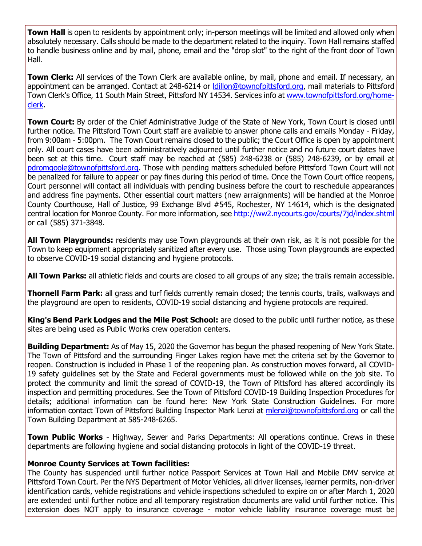**Town Hall** is open to residents by appointment only; in-person meetings will be limited and allowed only when absolutely necessary. Calls should be made to the department related to the inquiry. Town Hall remains staffed to handle business online and by mail, phone, email and the "drop slot" to the right of the front door of Town Hall.

**Town Clerk:** All services of the Town Clerk are available online, by mail, phone and email. If necessary, an appointment can be arranged. Contact at 248-6214 or Idillon@townofpittsford.org, mail materials to Pittsford Town Clerk's Office, 11 South Main Street, Pittsford NY 14534. Services info at [www.townofpittsford.org/home](http://r20.rs6.net/tn.jsp?f=001v6iMkIDGlkLstFMyatL3P_V-GyaqgH_ksxteKRcaj6Voijx-kXJ8vP5V_PnUpjVIfrZswSH-D2jgN7Caz9R33V-nYoBzrX17FjsbzpP6G0xLuYG0tEM6tL8uEuNN7PmGNsK8NeozneCzZr7BIfwLSm-l1UKS1PD9MrXbv8ysroeOtuEcB7N0SbZNxPEjpacKFJo7tYNUNwN26l-A05-yyEyflzu7ItCOAfhiGaj-khWn5MR_sz5UG_1DLDdXn_cg86FOYITSgv2JhJMzW_-OlqcLI-Yzbpkqh1ceT41eIbxbTWIe-vW3Pw==&c=1xJUwWdEKTuQlbANymVtbtYYWTrmm9_kwM7OiCgeo7WDxTZl2_I8wA==&ch=LIEaKR353EeafE5ORnvTbeJiNt-uLG99s6yNEnjTGn3F9wct176ajw==)[clerk.](http://r20.rs6.net/tn.jsp?f=001v6iMkIDGlkLstFMyatL3P_V-GyaqgH_ksxteKRcaj6Voijx-kXJ8vP5V_PnUpjVIfrZswSH-D2jgN7Caz9R33V-nYoBzrX17FjsbzpP6G0xLuYG0tEM6tL8uEuNN7PmGNsK8NeozneCzZr7BIfwLSm-l1UKS1PD9MrXbv8ysroeOtuEcB7N0SbZNxPEjpacKFJo7tYNUNwN26l-A05-yyEyflzu7ItCOAfhiGaj-khWn5MR_sz5UG_1DLDdXn_cg86FOYITSgv2JhJMzW_-OlqcLI-Yzbpkqh1ceT41eIbxbTWIe-vW3Pw==&c=1xJUwWdEKTuQlbANymVtbtYYWTrmm9_kwM7OiCgeo7WDxTZl2_I8wA==&ch=LIEaKR353EeafE5ORnvTbeJiNt-uLG99s6yNEnjTGn3F9wct176ajw==)

**Town Court:** By order of the Chief Administrative Judge of the State of New York, Town Court is closed until further notice. The Pittsford Town Court staff are available to answer phone calls and emails Monday - Friday, from 9:00am - 5:00pm. The Town Court remains closed to the public; the Court Office is open by appointment only. All court cases have been administratively adjourned until further notice and no future court dates have been set at this time. Court staff may be reached at (585) 248-6238 or (585) 248-6239, or by email at [pdromgoole@townofpittsford.org.](mailto:pdromgoole@townofpittsford.org) Those with pending matters scheduled before Pittsford Town Court will not be penalized for failure to appear or pay fines during this period of time. Once the Town Court office reopens, Court personnel will contact all individuals with pending business before the court to reschedule appearances and address fine payments. Other essential court matters (new arraignments) will be handled at the Monroe County Courthouse, Hall of Justice, 99 Exchange Blvd #545, Rochester, NY 14614, which is the designated central location for Monroe County. For more information, see [http://ww2.nycourts.gov/courts/7jd/index.shtml](http://r20.rs6.net/tn.jsp?f=001v6iMkIDGlkLstFMyatL3P_V-GyaqgH_ksxteKRcaj6Voijx-kXJ8vDtwXn0Q_pG3Yd-3NicV2qKV6-DjTeLhxR4fHqzo1MjvVn1MLMU-8JKYzk92hCBgX4ibIDJhh5UFbpSDwsGcZ9PqZNNQPG1Q89fpb0gsWMqyYii2bUUiQMcBTn-UywKu_M4TgsS6fHS3xW9xnBcMObE3eomPIzg9OpIF0ubEHpS8t6LCdMAx9iQYo_Q5aOQLRFqFKXDwbfEHA58w-36vA8MhrG1SRHtLQlKuLitT5LBlVJt0Lx3H5_qSijkaaD-wJNiwzPaO_Kqv&c=1xJUwWdEKTuQlbANymVtbtYYWTrmm9_kwM7OiCgeo7WDxTZl2_I8wA==&ch=LIEaKR353EeafE5ORnvTbeJiNt-uLG99s6yNEnjTGn3F9wct176ajw==) or call (585) 371-3848.

**All Town Playgrounds:** residents may use Town playgrounds at their own risk, as it is not possible for the Town to keep equipment appropriately sanitized after every use. Those using Town playgrounds are expected to observe COVID-19 social distancing and hygiene protocols.

**All Town Parks:** all athletic fields and courts are closed to all groups of any size; the trails remain accessible.

**Thornell Farm Park:** all grass and turf fields currently remain closed; the tennis courts, trails, walkways and the playground are open to residents, COVID-19 social distancing and hygiene protocols are required.

**King's Bend Park Lodges and the Mile Post School:** are closed to the public until further notice, as these sites are being used as Public Works crew operation centers.

**Building Department:** As of May 15, 2020 the Governor has begun the phased reopening of New York State. The Town of Pittsford and the surrounding Finger Lakes region have met the criteria set by the Governor to reopen. Construction is included in Phase 1 of the reopening plan. As construction moves forward, all COVID-19 safety guidelines set by the State and Federal governments must be followed while on the job site. To protect the community and limit the spread of COVID-19, the Town of Pittsford has altered accordingly its inspection and permitting procedures. See the Town of Pittsford COVID-19 Building Inspection Procedures for details; additional information can be found here: New York State Construction Guidelines. For more information contact Town of Pittsford Building Inspector Mark Lenzi at [mlenzi@townofpittsford.org](mailto:mlenzi@townofpittsford.org?subject=COVID-19%20Construciton%20Information) or call the Town Building Department at 585-248-6265.

**Town Public Works** - Highway, Sewer and Parks Departments: All operations continue. Crews in these departments are following hygiene and social distancing protocols in light of the COVID-19 threat.

#### **Monroe County Services at Town facilities:**

The County has suspended until further notice Passport Services at Town Hall and Mobile DMV service at Pittsford Town Court. Per the NYS Department of Motor Vehicles, all driver licenses, learner permits, non-driver identification cards, vehicle registrations and vehicle inspections scheduled to expire on or after March 1, 2020 are extended until further notice and all temporary registration documents are valid until further notice. This extension does NOT apply to insurance coverage - motor vehicle liability insurance coverage must be